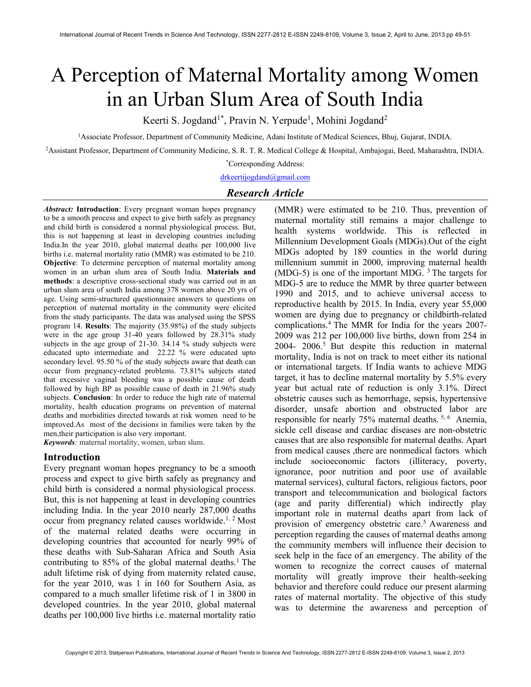# A Perception of Maternal Mortality among Women in an Urban Slum Area of South India

Keerti S. Jogdand<sup>1\*</sup>, Pravin N. Yerpude<sup>1</sup>, Mohini Jogdand<sup>2</sup>

<sup>1</sup>Associate Professor, Department of Community Medicine, Adani Institute of Medical Sciences, Bhuj, Gujarat, INDIA.

<sup>2</sup>Assistant Professor, Department of Community Medicine, S. R. T. R. Medical College & Hospital, Ambajogai, Beed, Maharashtra, INDIA.

\*Corresponding Address:

# drkeertijogdand@gmail.com

### Research Article

Abstract: Introduction: Every pregnant woman hopes pregnancy to be a smooth process and expect to give birth safely as pregnancy and child birth is considered a normal physiological process. But, this is not happening at least in developing countries including India.In the year 2010, global maternal deaths per 100,000 live births i.e. maternal mortality ratio (MMR) was estimated to be 210. Objective: To determine perception of maternal mortality among women in an urban slum area of South India. Materials and methods: a descriptive cross-sectional study was carried out in an urban slum area of south India among 378 women above 20 yrs of age. Using semi-structured questionnaire answers to questions on perception of maternal mortality in the community were elicited from the study participants. The data was analysed using the SPSS program 14. Results: The majority (35.98%) of the study subjects were in the age group 31-40 years followed by 28.31% study subjects in the age group of 21-30. 34.14 % study subjects were educated upto intermediate and 22.22 % were educated upto secondary level. 95.50 % of the study subjects aware that death can occur from pregnancy-related problems. 73.81% subjects stated that excessive vaginal bleeding was a possible cause of death followed by high BP as possible cause of death in 21.96% study subjects. Conclusion: In order to reduce the high rate of maternal mortality, health education programs on prevention of maternal deaths and morbidities directed towards at risk women need to be improved.As most of the decisions in families were taken by the men,their participation is also very important.

Keywords: maternal mortality, women, urban slum.

#### Introduction

Every pregnant woman hopes pregnancy to be a smooth process and expect to give birth safely as pregnancy and child birth is considered a normal physiological process. But, this is not happening at least in developing countries including India. In the year 2010 nearly 287,000 deaths occur from pregnancy related causes worldwide.<sup>1, 2</sup> Most of the maternal related deaths were occurring in developing countries that accounted for nearly 99% of these deaths with Sub-Saharan Africa and South Asia contributing to  $85\%$  of the global maternal deaths.<sup>1</sup> The adult lifetime risk of dying from maternity related cause, for the year 2010, was 1 in 160 for Southern Asia, as compared to a much smaller lifetime risk of 1 in 3800 in developed countries. In the year 2010, global maternal deaths per 100,000 live births i.e. maternal mortality ratio

(MMR) were estimated to be 210. Thus, prevention of maternal mortality still remains a major challenge to health systems worldwide. This is reflected in Millennium Development Goals (MDGs).Out of the eight MDGs adopted by 189 counties in the world during millennium summit in 2000, improving maternal health (MDG-5) is one of the important MDG.  $3$  The targets for MDG-5 are to reduce the MMR by three quarter between 1990 and 2015, and to achieve universal access to reproductive health by 2015. In India, every year 55,000 women are dying due to pregnancy or childbirth-related complications.<sup>4</sup>The MMR for India for the years 2007- 2009 was 212 per 100,000 live births, down from 254 in  $2004 - 2006$ <sup>5</sup> But despite this reduction in maternal mortality, India is not on track to meet either its national or international targets. If India wants to achieve MDG target, it has to decline maternal mortality by 5.5% every year but actual rate of reduction is only 3.1%. Direct obstetric causes such as hemorrhage, sepsis, hypertensive disorder, unsafe abortion and obstructed labor are responsible for nearly 75% maternal deaths. 5, 6 Anemia, sickle cell disease and cardiac diseases are non-obstetric causes that are also responsible for maternal deaths. Apart from medical causes ,there are nonmedical factors which include socioeconomic factors (illiteracy, poverty, ignorance, poor nutrition and poor use of available maternal services), cultural factors, religious factors, poor transport and telecommunication and biological factors (age and parity differential) which indirectly play important role in maternal deaths apart from lack of provision of emergency obstetric care.<sup>5</sup> Awareness and perception regarding the causes of maternal deaths among the community members will influence their decision to seek help in the face of an emergency. The ability of the women to recognize the correct causes of maternal mortality will greatly improve their health-seeking behavior and therefore could reduce our present alarming rates of maternal mortality. The objective of this study was to determine the awareness and perception of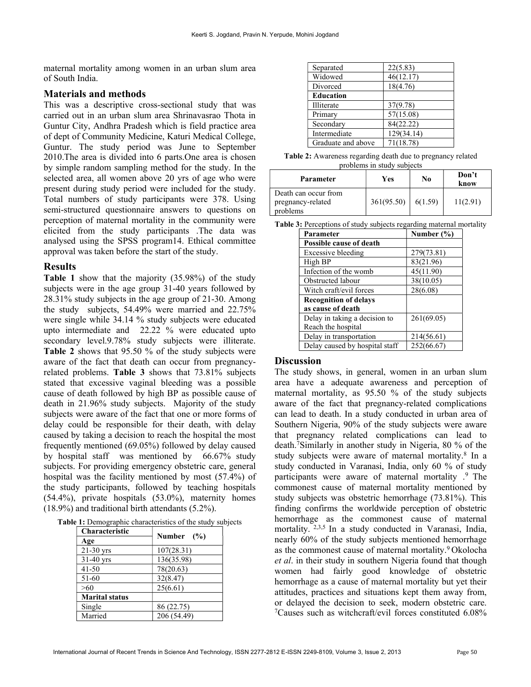maternal mortality among women in an urban slum area of South India.

### Materials and methods

This was a descriptive cross-sectional study that was carried out in an urban slum area Shrinavasrao Thota in Guntur City, Andhra Pradesh which is field practice area of dept of Community Medicine, Katuri Medical College, Guntur. The study period was June to September 2010.The area is divided into 6 parts.One area is chosen by simple random sampling method for the study. In the selected area, all women above 20 yrs of age who were present during study period were included for the study. Total numbers of study participants were 378. Using semi-structured questionnaire answers to questions on perception of maternal mortality in the community were elicited from the study participants .The data was analysed using the SPSS program14. Ethical committee approval was taken before the start of the study.

### Results

Table 1 show that the majority (35.98%) of the study subjects were in the age group 31-40 years followed by 28.31% study subjects in the age group of 21-30. Among the study subjects, 54.49% were married and 22.75% were single while 34.14 % study subjects were educated upto intermediate and 22.22 % were educated upto secondary level.9.78% study subjects were illiterate. Table 2 shows that 95.50 % of the study subjects were aware of the fact that death can occur from pregnancyrelated problems. Table 3 shows that 73.81% subjects stated that excessive vaginal bleeding was a possible cause of death followed by high BP as possible cause of death in 21.96% study subjects. Majority of the study subjects were aware of the fact that one or more forms of delay could be responsible for their death, with delay caused by taking a decision to reach the hospital the most frequently mentioned (69.05%) followed by delay caused by hospital staff was mentioned by 66.67% study subjects. For providing emergency obstetric care, general hospital was the facility mentioned by most (57.4%) of the study participants, followed by teaching hospitals (54.4%), private hospitals (53.0%), maternity homes (18.9%) and traditional birth attendants (5.2%).

|  | Table 1: Demographic characteristics of the study subjects |  |
|--|------------------------------------------------------------|--|
|--|------------------------------------------------------------|--|

| <b>Characteristic</b> | Number $(\% )$ |  |
|-----------------------|----------------|--|
| Age                   |                |  |
| 21-30 yrs             | 107(28.31)     |  |
| 31-40 yrs             | 136(35.98)     |  |
| $41 - 50$             | 78(20.63)      |  |
| 51-60                 | 32(8.47)       |  |
| >60                   | 25(6.61)       |  |
| <b>Marital status</b> |                |  |
| Single                | 86 (22.75)     |  |
| Married               | 206 (54.49)    |  |

| Separated          | 22(5.83)   |
|--------------------|------------|
| Widowed            | 46(12.17)  |
| Divorced           | 18(4.76)   |
| <b>Education</b>   |            |
| Illiterate         | 37(9.78)   |
| Primary            | 57(15.08)  |
| Secondary          | 84(22.22)  |
| Intermediate       | 129(34.14) |
| Graduate and above | 71(18.78)  |

Table 2: Awareness regarding death due to pregnancy related problems in study subjects

| Parameter                                             | Yes        | No      | Don't<br>know |
|-------------------------------------------------------|------------|---------|---------------|
| Death can occur from<br>pregnancy-related<br>problems | 361(95.50) | 6(1.59) | 11(2.91)      |

Table 3: Perceptions of study subjects regarding maternal mortality

| Parameter                      | Number $(\% )$ |  |
|--------------------------------|----------------|--|
| <b>Possible cause of death</b> |                |  |
| Excessive bleeding             | 279(73.81)     |  |
| High BP                        | 83(21.96)      |  |
| Infection of the womb          | 45(11.90)      |  |
| Obstructed labour              | 38(10.05)      |  |
| Witch craft/evil forces        | 28(6.08)       |  |
| <b>Recognition of delays</b>   |                |  |
| as cause of death              |                |  |
| Delay in taking a decision to  | 261(69.05)     |  |
| Reach the hospital             |                |  |
| Delay in transportation        | 214(56.61)     |  |
| Delay caused by hospital staff | 252(66.67)     |  |

#### Discussion

The study shows, in general, women in an urban slum area have a adequate awareness and perception of maternal mortality, as 95.50 % of the study subjects aware of the fact that pregnancy-related complications can lead to death. In a study conducted in urban area of Southern Nigeria, 90% of the study subjects were aware that pregnancy related complications can lead to death.<sup>7</sup>Similarly in another study in Nigeria, 80 % of the study subjects were aware of maternal mortality.<sup>8</sup> In a study conducted in Varanasi, India, only 60 % of study participants were aware of maternal mortality .<sup>9</sup> The commonest cause of maternal mortality mentioned by study subjects was obstetric hemorrhage (73.81%). This finding confirms the worldwide perception of obstetric hemorrhage as the commonest cause of maternal mortality.<sup>2,3,5</sup> In a study conducted in Varanasi, India, nearly 60% of the study subjects mentioned hemorrhage as the commonest cause of maternal mortality.<sup>9</sup>Okolocha et al. in their study in southern Nigeria found that though women had fairly good knowledge of obstetric hemorrhage as a cause of maternal mortality but yet their attitudes, practices and situations kept them away from, or delayed the decision to seek, modern obstetric care. 7Causes such as witchcraft/evil forces constituted 6.08%